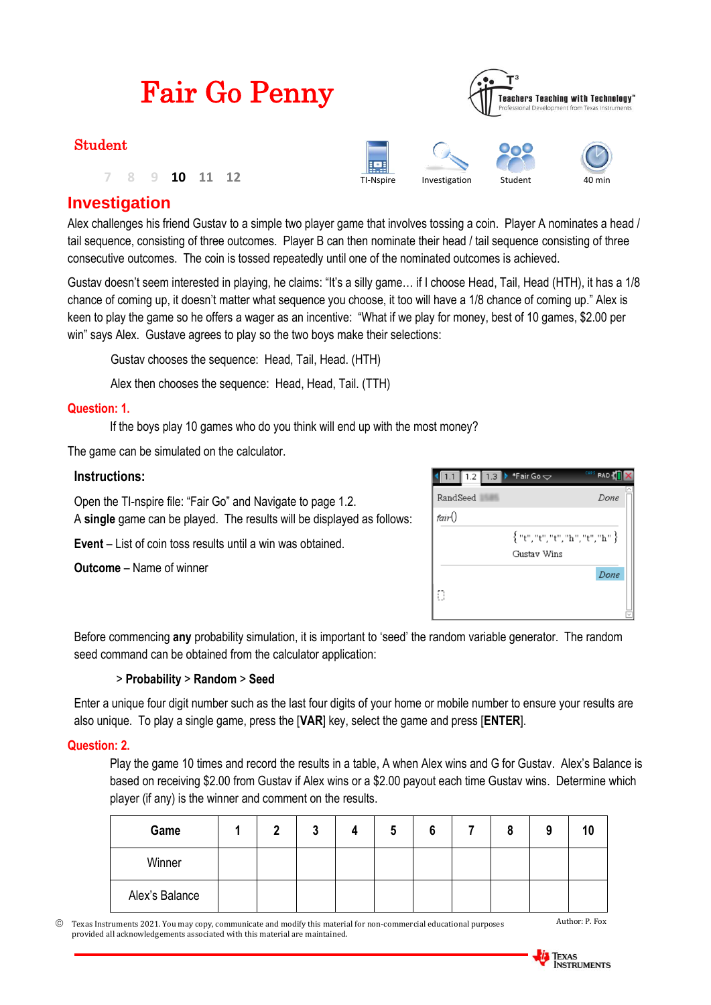| <b>Fair Go Penny</b> | <b>Teachers Teaching with Technology</b> <sup>*</sup><br>Professional Development from Texas Instruments |               |         |        |  |
|----------------------|----------------------------------------------------------------------------------------------------------|---------------|---------|--------|--|
| <b>Student</b>       |                                                                                                          |               |         |        |  |
| 10                   | <b>Frank</b><br>TI-Nspire                                                                                | Investigation | Student | 40 min |  |

## **Investigation**

Alex challenges his friend Gustav to a simple two player game that involves tossing a coin. Player A nominates a head / tail sequence, consisting of three outcomes. Player B can then nominate their head / tail sequence consisting of three consecutive outcomes. The coin is tossed repeatedly until one of the nominated outcomes is achieved.

Gustav doesn't seem interested in playing, he claims: "It's a silly game… if I choose Head, Tail, Head (HTH), it has a 1/8 chance of coming up, it doesn't matter what sequence you choose, it too will have a 1/8 chance of coming up." Alex is keen to play the game so he offers a wager as an incentive: "What if we play for money, best of 10 games, \$2.00 per win" says Alex. Gustave agrees to play so the two boys make their selections:

Gustav chooses the sequence: Head, Tail, Head. (HTH)

Alex then chooses the sequence: Head, Head, Tail. (TTH)

#### **Question: 1.**

If the boys play 10 games who do you think will end up with the most money?

The game can be simulated on the calculator.

#### **Instructions:**

Open the TI-nspire file: "Fair Go" and Navigate to page 1.2. A **single** game can be played. The results will be displayed as follows:

**Event** – List of coin toss results until a win was obtained.

**Outcome** – Name of winner

|          | 1.2 1.3 $\blacktriangleright$ *Fair Go $\blacktriangleright$ | CAPS<br><b>RAD</b> |
|----------|--------------------------------------------------------------|--------------------|
| RandSeed |                                                              | Done               |
| fair()   |                                                              |                    |
|          | {"t","t","t","h","t","h"}                                    |                    |
|          | Gustav Wins                                                  |                    |
|          |                                                              | Done               |
| Ð        |                                                              |                    |
|          |                                                              |                    |

Before commencing **any** probability simulation, it is important to 'seed' the random variable generator. The random seed command can be obtained from the calculator application:

#### > **Probability** > **Random** > **Seed**

Enter a unique four digit number such as the last four digits of your home or mobile number to ensure your results are also unique. To play a single game, press the [**VAR**] key, select the game and press [**ENTER**].

#### **Question: 2.**

Play the game 10 times and record the results in a table, A when Alex wins and G for Gustav. Alex's Balance is based on receiving \$2.00 from Gustav if Alex wins or a \$2.00 payout each time Gustav wins. Determine which player (if any) is the winner and comment on the results.

| Game           | n | <b>A</b> |  |  | g |  |
|----------------|---|----------|--|--|---|--|
| Winner         |   |          |  |  |   |  |
| Alex's Balance |   |          |  |  |   |  |

 Texas Instruments 2021. You may copy, communicate and modify this material for non-commercial educational purposes provided all acknowledgements associated with this material are maintained.



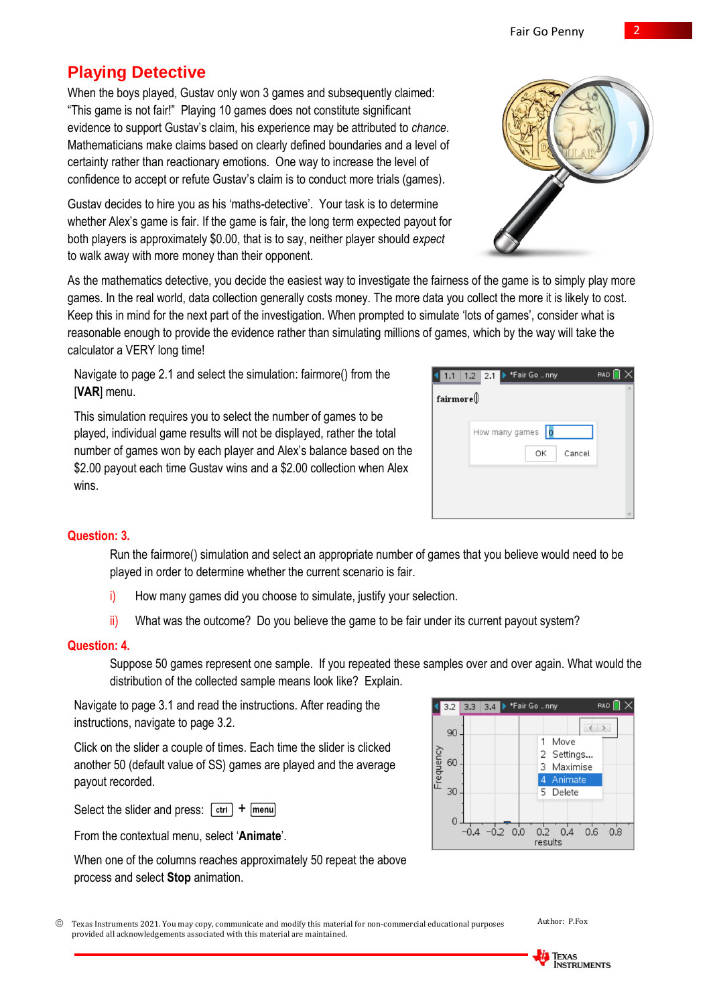# **Playing Detective**

When the boys played, Gustav only won 3 games and subsequently claimed: "This game is not fair!" Playing 10 games does not constitute significant evidence to support Gustav's claim, his experience may be attributed to *chance*. Mathematicians make claims based on clearly defined boundaries and a level of certainty rather than reactionary emotions. One way to increase the level of confidence to accept or refute Gustav's claim is to conduct more trials (games).

Gustav decides to hire you as his 'maths-detective'. Your task is to determine whether Alex's game is fair. If the game is fair, the long term expected payout for both players is approximately \$0.00, that is to say, neither player should *expect* to walk away with more money than their opponent.

As the mathematics detective, you decide the easiest way to investigate the fairness of the game is to simply play more games. In the real world, data collection generally costs money. The more data you collect the more it is likely to cost. Keep this in mind for the next part of the investigation. When prompted to simulate 'lots of games', consider what is reasonable enough to provide the evidence rather than simulating millions of games, which by the way will take the calculator a VERY long time!

Navigate to page 2.1 and select the simulation: fairmore() from the [**VAR**] menu.

This simulation requires you to select the number of games to be played, individual game results will not be displayed, rather the total number of games won by each player and Alex's balance based on the \$2.00 payout each time Gustay wins and a \$2.00 collection when Alex wins.

### **Question: 3.**

Run the fairmore() simulation and select an appropriate number of games that you believe would need to be played in order to determine whether the current scenario is fair.

- i) How many games did you choose to simulate, justify your selection.
- ii) What was the outcome? Do you believe the game to be fair under its current payout system?

#### **Question: 4.**

Suppose 50 games represent one sample. If you repeated these samples over and over again. What would the distribution of the collected sample means look like? Explain.

Navigate to page 3.1 and read the instructions. After reading the instructions, navigate to page 3.2.

Click on the slider a couple of times. Each time the slider is clicked another 50 (default value of SS) games are played and the average payout recorded.

Select the slider and press:  $\lceil c \cdot r \rceil + \lceil m \cdot r \rceil$ 

From the contextual menu, select '**Animate**'.

When one of the columns reaches approximately 50 repeat the above process and select **Stop** animation.

| © Texas Instruments 2021. You may copy, communicate and modify this material for non-commercial educational purposes |
|----------------------------------------------------------------------------------------------------------------------|
| provided all acknowledgements associated with this material are maintained.                                          |

**TEXAS**<br>INSTRUMENTS



**RAD** 

| $\mathtt{fairmore} @$ |                  |  |
|-----------------------|------------------|--|
|                       | How many games 0 |  |
|                       | ОΚ<br>Cancel     |  |
|                       |                  |  |
|                       |                  |  |
|                       |                  |  |

1.1 1.2 2.1 Fair Go ... nny